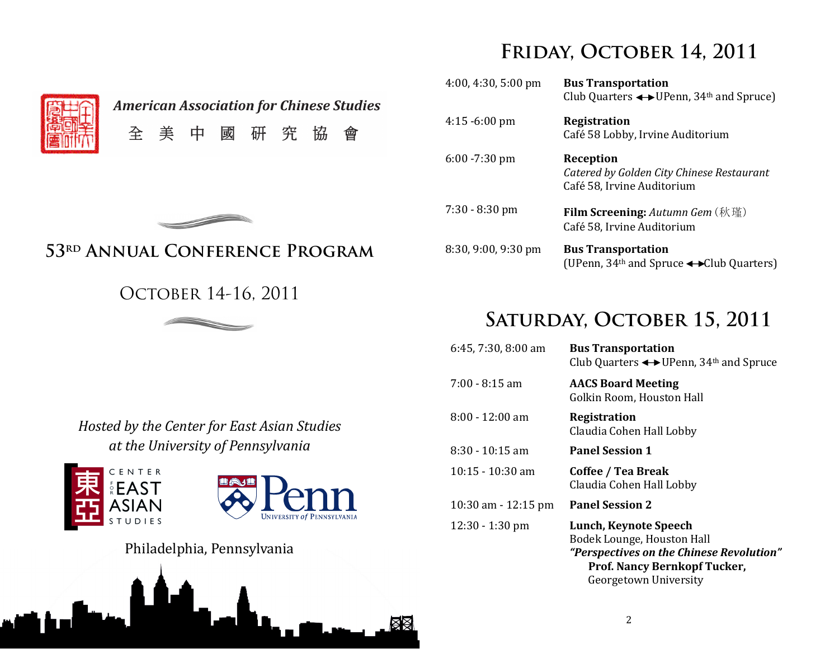# **Friday, October 14, 2011**

| <b>American Association for Chinese Studies</b> |  |          |  |  |
|-------------------------------------------------|--|----------|--|--|
|                                                 |  | 全美中國研究協會 |  |  |

| $4:00, 4:30, 5:00 \text{ pm}$ | <b>Bus Transportation</b><br>Club Quarters $\longleftrightarrow$ UPenn, 34 <sup>th</sup> and Spruce) |
|-------------------------------|------------------------------------------------------------------------------------------------------|
| $4:15 - 6:00$ pm              | <b>Registration</b><br>Café 58 Lobby, Irvine Auditorium                                              |
| $6:00 - 7:30$ pm              | Reception<br>Catered by Golden City Chinese Restaurant<br>Café 58, Irvine Auditorium                 |
| $7:30 - 8:30$ pm              | <b>Film Screening:</b> Autumn Gem (秋瑾)<br>Café 58, Irvine Auditorium                                 |
| 8:30, 9:00, 9:30 pm           | <b>Bus Transportation</b><br>(UPenn, $34th$ and Spruce $\leftrightarrow$ Club Quarters)              |



## **53rd Annual Conference Program**

## OCTOBER 14-16, 2011



# **Saturday, October 15, 2011**

| $6:45, 7:30, 8:00$ am  | <b>Bus Transportation</b><br>Club Quarters $\leftrightarrow$ UPenn, 34 <sup>th</sup> and Spruce                                                                 |
|------------------------|-----------------------------------------------------------------------------------------------------------------------------------------------------------------|
| $7:00 - 8:15$ am       | <b>AACS Board Meeting</b><br>Golkin Room, Houston Hall                                                                                                          |
| $8:00 - 12:00$ am      | <b>Registration</b><br>Claudia Cohen Hall Lobby                                                                                                                 |
| $8:30 - 10:15$ am      | <b>Panel Session 1</b>                                                                                                                                          |
| $10:15 - 10:30$ am     | Coffee / Tea Break<br>Claudia Cohen Hall Lobby                                                                                                                  |
| $10:30$ am $-12:15$ pm | <b>Panel Session 2</b>                                                                                                                                          |
| $12:30 - 1:30$ pm      | Lunch, Keynote Speech<br>Bodek Lounge, Houston Hall<br>"Perspectives on the Chinese Revolution"<br><b>Prof. Nancy Bernkopf Tucker,</b><br>Georgetown University |

Hosted by the Center for East Asian Studies at the University of Pennsylvania





Philadelphia, Pennsylvania

1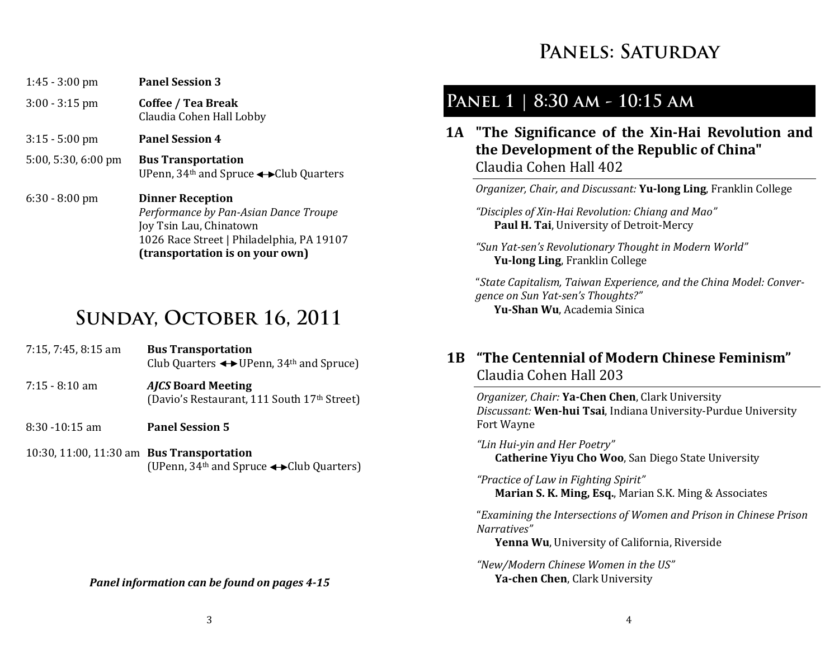# PANELS: SATURDAY

| $1:45 - 3:00$ pm              | <b>Panel Session 3</b>                                                                                                                                                      |
|-------------------------------|-----------------------------------------------------------------------------------------------------------------------------------------------------------------------------|
| $3:00 - 3:15$ pm              | Coffee / Tea Break<br>Claudia Cohen Hall Lobby                                                                                                                              |
| $3:15 - 5:00$ pm              | <b>Panel Session 4</b>                                                                                                                                                      |
| $5:00, 5:30, 6:00 \text{ pm}$ | <b>Bus Transportation</b><br>UPenn, $34th$ and Spruce $\leftrightarrow$ Club Quarters                                                                                       |
| $6:30 - 8:00$ pm              | <b>Dinner Reception</b><br>Performance by Pan-Asian Dance Troupe<br>Joy Tsin Lau, Chinatown<br>1026 Race Street   Philadelphia, PA 19107<br>(transportation is on your own) |

# **Sunday, October 16, 2011**

| $7:15, 7:45, 8:15$ am | <b>Bus Transportation</b><br>Club Quarters $\leftrightarrow$ UPenn, 34 <sup>th</sup> and Spruce) |
|-----------------------|--------------------------------------------------------------------------------------------------|
| $7:15 - 8:10$ am      | <b>AJCS Board Meeting</b><br>(Davio's Restaurant, 111 South 17th Street)                         |
| 8:30 -10:15 am        | <b>Panel Session 5</b>                                                                           |

10:30, 11:00, 11:30 am Bus Transportation (UPenn,  $34<sup>th</sup>$  and Spruce  $\leftrightarrow$  Club Quarters)

#### Panel information can be found on pages 4-15

## **Panel 1 | 8:30 am - 10:15 am**

1A "The Significance of the Xin-Hai Revolution and the Development of the Republic of China" Claudia Cohen Hall 402 

Organizer, Chair, and Discussant: **Yu-long Ling**, Franklin College

"Disciples of Xin-Hai Revolution: Chiang and Mao" Paul H. Tai, University of Detroit-Mercy

"Sun Yat-sen's Revolutionary Thought in Modern World" Yu-long Ling, Franklin College

"State Capitalism, Taiwan Experience, and the China Model: Convergence on Sun Yat-sen's Thoughts?" Yu-Shan Wu, Academia Sinica

#### 1B "The Centennial of Modern Chinese Feminism" Claudia Cohen Hall 203

Organizer, Chair: Ya-Chen Chen, Clark University Discussant: Wen-hui Tsai, Indiana University-Purdue University Fort Wayne

"Lin Hui-yin and Her Poetry" Catherine Yiyu Cho Woo, San Diego State University

"Practice of Law in Fighting Spirit" Marian S. K. Ming, Esq., Marian S.K. Ming & Associates

"Examining the Intersections of Women and Prison in Chinese Prison Narratives"

**Yenna Wu**, University of California, Riverside

"New/Modern Chinese Women in the US" Ya-chen Chen, Clark University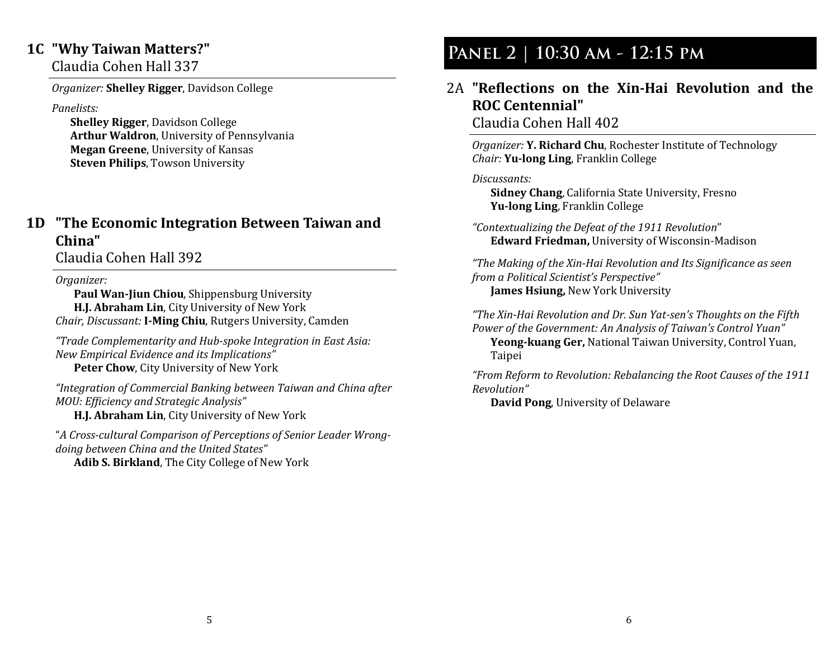#### 1C "Why Taiwan Matters?"

Claudia Cohen Hall 337 

Organizer: Shelley Rigger, Davidson College

Panelists:

Shelley Rigger, Davidson College Arthur Waldron, University of Pennsylvania **Megan Greene, University of Kansas Steven Philips, Towson University** 

#### 1D "The Economic Integration Between Taiwan and China"

Claudia Cohen Hall 392 

Organizer:

Paul Wan-Jiun Chiou, Shippensburg University H.J. Abraham Lin, City University of New York *Chair, Discussant:* **I-Ming Chiu**, Rutgers University, Camden

"Trade Complementarity and Hub-spoke Integration in East Asia: New Empirical Evidence and its Implications" Peter Chow, City University of New York

"Integration of Commercial Banking between Taiwan and China after MOU: Efficiency and Strategic Analysis"

H.J. Abraham Lin, City University of New York

"A Cross-cultural Comparison of Perceptions of Senior Leader Wrongdoing between China and the United States"

**Adib S. Birkland**, The City College of New York

# **Panel 2 | 10:30 am - 12:15 pm**

#### 2A "Reflections on the Xin-Hai Revolution and the ROC Centennial" Claudia Cohen Hall 402

Organizer: Y. Richard Chu, Rochester Institute of Technology Chair: Yu-long Ling, Franklin College

Discussants:

Sidney Chang, California State University, Fresno Yu-long Ling, Franklin College

"Contextualizing the Defeat of the 1911 Revolution" Edward Friedman, University of Wisconsin-Madison

"The Making of the Xin-Hai Revolution and Its Significance as seen from a Political Scientist's Perspective" James Hsiung, New York University

"The Xin-Hai Revolution and Dr. Sun Yat-sen's Thoughts on the Fifth Power of the Government: An Analysis of Taiwan's Control Yuan"

Yeong-kuang Ger, National Taiwan University, Control Yuan, **Taipei** 

"From Reform to Revolution: Rebalancing the Root Causes of the 1911 Revolution" 

David Pong, University of Delaware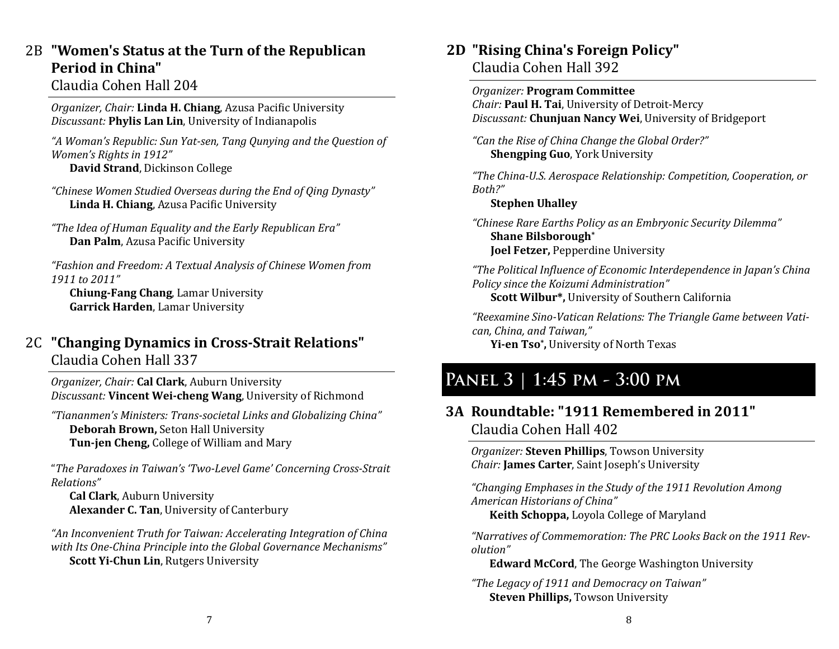## $2B$  "Women's Status at the Turn of the Republican Period in China"

#### Claudia Cohen Hall 204

Organizer, Chair: Linda H. Chiang, Azusa Pacific University Discussant: Phylis Lan Lin, University of Indianapolis

"A Woman's Republic: Sun Yat-sen, Tang Qunying and the Question of Women's Rights in 1912" David Strand, Dickinson College

"Chinese Women Studied Overseas during the End of Qing Dynasty" Linda H. Chiang, Azusa Pacific University

"The Idea of Human Equality and the Early Republican Era" Dan Palm, Azusa Pacific University

"Fashion and Freedom: A Textual Analysis of Chinese Women from 1911 to 2011"

**Chiung-Fang Chang, Lamar University** Garrick Harden, Lamar University

#### 2C "Changing Dynamics in Cross-Strait Relations" Claudia Cohen Hall 337

Organizer, Chair: Cal Clark, Auburn University Discussant: Vincent Wei-cheng Wang, University of Richmond

"Tiananmen's Ministers: Trans-societal Links and Globalizing China" Deborah Brown, Seton Hall University Tun-jen Cheng, College of William and Mary

"The Paradoxes in Taiwan's 'Two-Level Game' Concerning Cross-Strait Relations"

**Cal Clark**, Auburn University Alexander C. Tan, University of Canterbury

"An Inconvenient Truth for Taiwan: Accelerating Integration of China with Its One-China Principle into the Global Governance Mechanisms" Scott Yi-Chun Lin, Rutgers University

## 2D "Rising China's Foreign Policy"

Claudia Cohen Hall 392 

Organizer: Program Committee *Chair:* **Paul H. Tai**, University of Detroit-Mercy Discussant: Chunjuan Nancy Wei, University of Bridgeport

"Can the Rise of China Change the Global Order?" **Shengping Guo, York University** 

"The China-U.S. Aerospace Relationship: Competition, Cooperation, or Both?" 

#### **Stephen Uhalley**

"Chinese Rare Earths Policy as an Embryonic Security Dilemma" Shane Bilsborough\* **Joel Fetzer, Pepperdine University** 

"The Political Influence of Economic Interdependence in Japan's China Policy since the Koizumi Administration" **Scott Wilbur\*, University of Southern California** 

"Reexamine Sino-Vatican Relations: The Triangle Game between Vatican, China, and Taiwan,"

Yi-en Tso\*, University of North Texas

## **Panel 3 | 1:45 pm - 3:00 pm**

#### 3A Roundtable: "1911 Remembered in 2011" Claudia Cohen Hall 402

Organizer: Steven Phillips, Towson University Chair: James Carter, Saint Joseph's University

"Changing Emphases in the Study of the 1911 Revolution Among American Historians of China"

Keith Schoppa, Loyola College of Maryland

"Narratives of Commemoration: The PRC Looks Back on the 1911 Revolution" 

Edward McCord, The George Washington University

"The Legacy of 1911 and Democracy on Taiwan" **Steven Phillips, Towson University**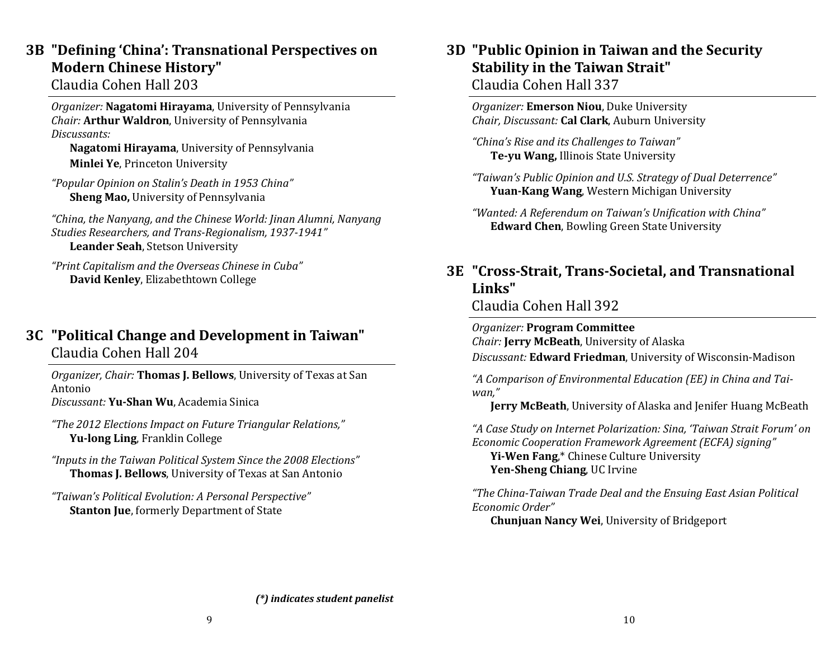### 3B "Defining 'China': Transnational Perspectives on Modern Chinese History"

Claudia Cohen Hall 203 

Organizer: Nagatomi Hirayama, University of Pennsylvania Chair: Arthur Waldron, University of Pennsylvania Discussants: 

Nagatomi Hirayama, University of Pennsylvania Minlei Ye, Princeton University

"Popular Opinion on Stalin's Death in 1953 China" Sheng Mao, University of Pennsylvania

"China, the Nanyang, and the Chinese World: Jinan Alumni, Nanyang Studies Researchers, and Trans-Regionalism, 1937-1941" Leander Seah, Stetson University

"Print Capitalism and the Overseas Chinese in Cuba" David Kenley, Elizabethtown College

#### 3C "Political Change and Development in Taiwan" Claudia Cohen Hall 204

Organizer, Chair: Thomas J. Bellows, University of Texas at San Antonio*Discussant:* **Yu-Shan Wu**, Academia Sinica

"The 2012 Elections Impact on Future Triangular Relations,"

Yu-long Ling, Franklin College

"Inputs in the Taiwan Political System Since the 2008 Elections" Thomas J. Bellows, University of Texas at San Antonio

"Taiwan's Political Evolution: A Personal Perspective" **Stanton Jue, formerly Department of State** 

## 3D "Public Opinion in Taiwan and the Security Stability in the Taiwan Strait"

Claudia Cohen Hall 337 

Organizer: Emerson Niou, Duke University Chair, Discussant: Cal Clark, Auburn University

"China's Rise and its Challenges to Taiwan" Te-yu Wang, Illinois State University

"Taiwan's Public Opinion and U.S. Strategy of Dual Deterrence" Yuan-Kang Wang, Western Michigan University

"Wanted: A Referendum on Taiwan's Unification with China" **Edward Chen, Bowling Green State University** 

### 3E "Cross-Strait, Trans-Societal, and Transnational Links"

Claudia Cohen Hall 392 

Organizer: Program Committee

Chair: Jerry McBeath, University of Alaska

Discussant: Edward Friedman, University of Wisconsin-Madison

"A Comparison of Environmental Education (EE) in China and Taiwan," 

Jerry McBeath, University of Alaska and Jenifer Huang McBeath

"A Case Study on Internet Polarization: Sina, 'Taiwan Strait Forum' on Economic Cooperation Framework Agreement (ECFA) signing"

Yi-Wen Fang,\* Chinese Culture University Yen-Sheng Chiang, UC Irvine

"The China-Taiwan Trade Deal and the Ensuing East Asian Political Economic Order" 

Chunjuan Nancy Wei, University of Bridgeport

 $(*)$  indicates student panelist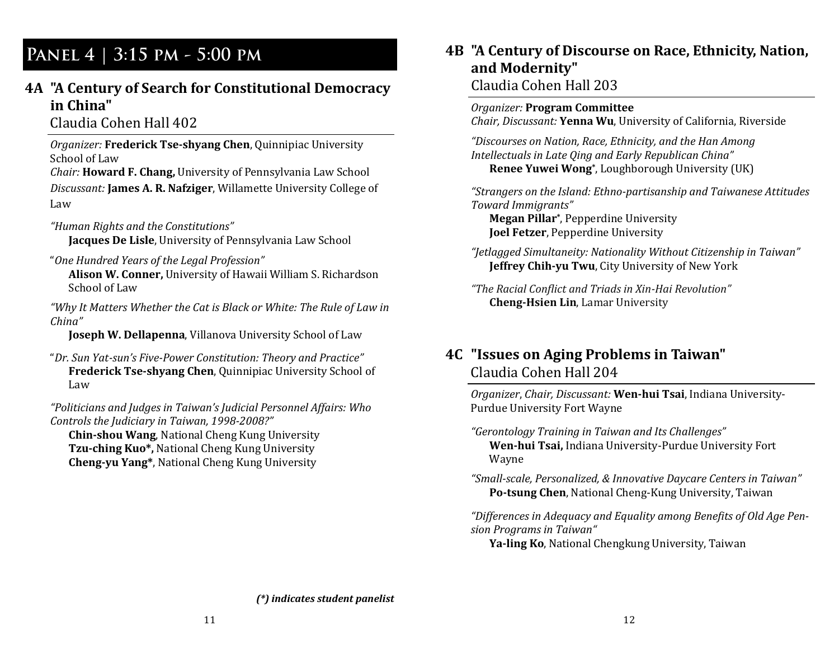## **Panel 4 | 3:15 pm - 5:00 pm**

#### 4A "A Century of Search for Constitutional Democracy in China"

Claudia Cohen Hall 402 

Organizer: Frederick Tse-shyang Chen, Quinnipiac University School of Law

Chair: Howard F. Chang, University of Pennsylvania Law School Discussant: James A. R. Nafziger, Willamette University College of Law 

"Human Rights and the Constitutions" Jacques De Lisle, University of Pennsylvania Law School

"One Hundred Years of the Legal Profession" Alison W. Conner, University of Hawaii William S. Richardson School of Law

"Why It Matters Whether the Cat is Black or White: The Rule of Law in China" 

**Joseph W. Dellapenna**, Villanova University School of Law

"Dr. Sun Yat-sun's Five-Power Constitution: Theory and Practice" Frederick Tse-shyang Chen, Quinnipiac University School of Law 

"Politicians and Judges in Taiwan's Judicial Personnel Affairs: Who Controls the Judiciary in Taiwan, 1998-2008?"

Chin-shou Wang, National Cheng Kung University Tzu-ching Kuo\*, National Cheng Kung University Cheng-yu Yang\*, National Cheng Kung University

## 4B "A Century of Discourse on Race, Ethnicity, Nation, and Modernity"

#### Claudia Cohen Hall 203

#### **Organizer: Program Committee**

Chair, Discussant: Yenna Wu, University of California, Riverside

"Discourses on Nation, Race, Ethnicity, and the Han Among Intellectuals in Late Qing and Early Republican China" Renee Yuwei Wong\*, Loughborough University (UK)

"Strangers on the Island: Ethno-partisanship and Taiwanese Attitudes Toward Immiarants"

Megan Pillar<sup>\*</sup>, Pepperdine University **Joel Fetzer**, Pepperdine University

"Jetlagged Simultaneity: Nationality Without Citizenship in Taiwan" **Jeffrey Chih-yu Twu**, City University of New York

"The Racial Conflict and Triads in Xin-Hai Revolution" **Cheng-Hsien Lin, Lamar University** 

#### 4C "Issues on Aging Problems in Taiwan" Claudia Cohen Hall 204

Organizer, Chair, Discussant: Wen-hui Tsai, Indiana University-Purdue University Fort Wayne

"Gerontology Training in Taiwan and Its Challenges" Wen-hui Tsai, Indiana University-Purdue University Fort Wayne 

"Small-scale, Personalized, & Innovative Daycare Centers in Taiwan" Po-tsung Chen, National Cheng-Kung University, Taiwan

"Differences in Adequacy and Equality among Benefits of Old Age Pension Programs in Taiwan"

Ya-ling Ko, National Chengkung University, Taiwan

 $(*)$  indicates student panelist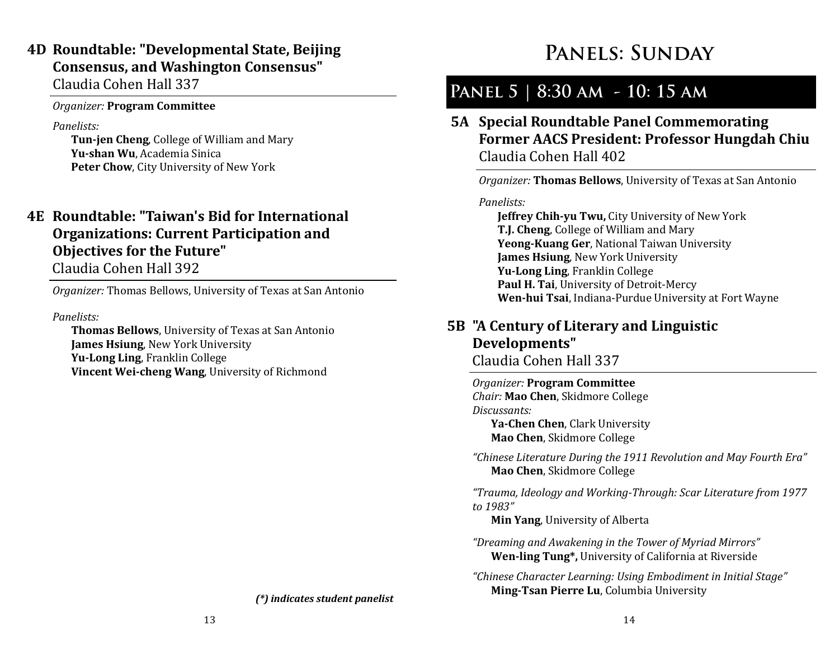## 4D Roundtable: "Developmental State, Beijing Consensus, and Washington Consensus"

Claudia Cohen Hall 337 

#### Organizer: Program Committee

#### Panelists:

Tun-jen Cheng, College of William and Mary Yu-shan Wu, Academia Sinica Peter Chow, City University of New York

### 4E Roundtable: "Taiwan's Bid for International Organizations: Current Participation and Objectives for the Future"

Claudia Cohen Hall 392 

*Organizer:* Thomas Bellows, University of Texas at San Antonio

Panelists:

**Thomas Bellows**, University of Texas at San Antonio **James Hsiung, New York University** Yu-Long Ling, Franklin College **Vincent Wei-cheng Wang, University of Richmond** 

#### $(*)$  indicates student panelist

# **Panels: Sunday**

# **Panel 5 | 8:30 am - 10: 15 am**

5A Special Roundtable Panel Commemorating Former AACS President: Professor Hungdah Chiu Claudia Cohen Hall 402 

Organizer: **Thomas Bellows**, University of Texas at San Antonio

#### Panelists:

**Jeffrey Chih-yu Twu, City University of New York** T.J. Cheng, College of William and Mary Yeong-Kuang Ger, National Taiwan University **James Hsiung, New York University** Yu-Long Ling, Franklin College Paul H. Tai, University of Detroit-Mercy Wen-hui Tsai, Indiana-Purdue University at Fort Wayne

## 5B "A Century of Literary and Linguistic Developments"

Claudia Cohen Hall 337 

Organizer: Program Committee Chair: Mao Chen, Skidmore College Discussants:

Ya-Chen Chen, Clark University Mao Chen, Skidmore College

"Chinese Literature During the 1911 Revolution and May Fourth Era" Mao Chen, Skidmore College

"Trauma, Ideology and Working-Through: Scar Literature from 1977 to 1983"

**Min Yang, University of Alberta** 

"Dreaming and Awakening in the Tower of Myriad Mirrors" Wen-ling Tung\*, University of California at Riverside

"Chinese Character Learning: Using Embodiment in Initial Stage" Ming-Tsan Pierre Lu, Columbia University